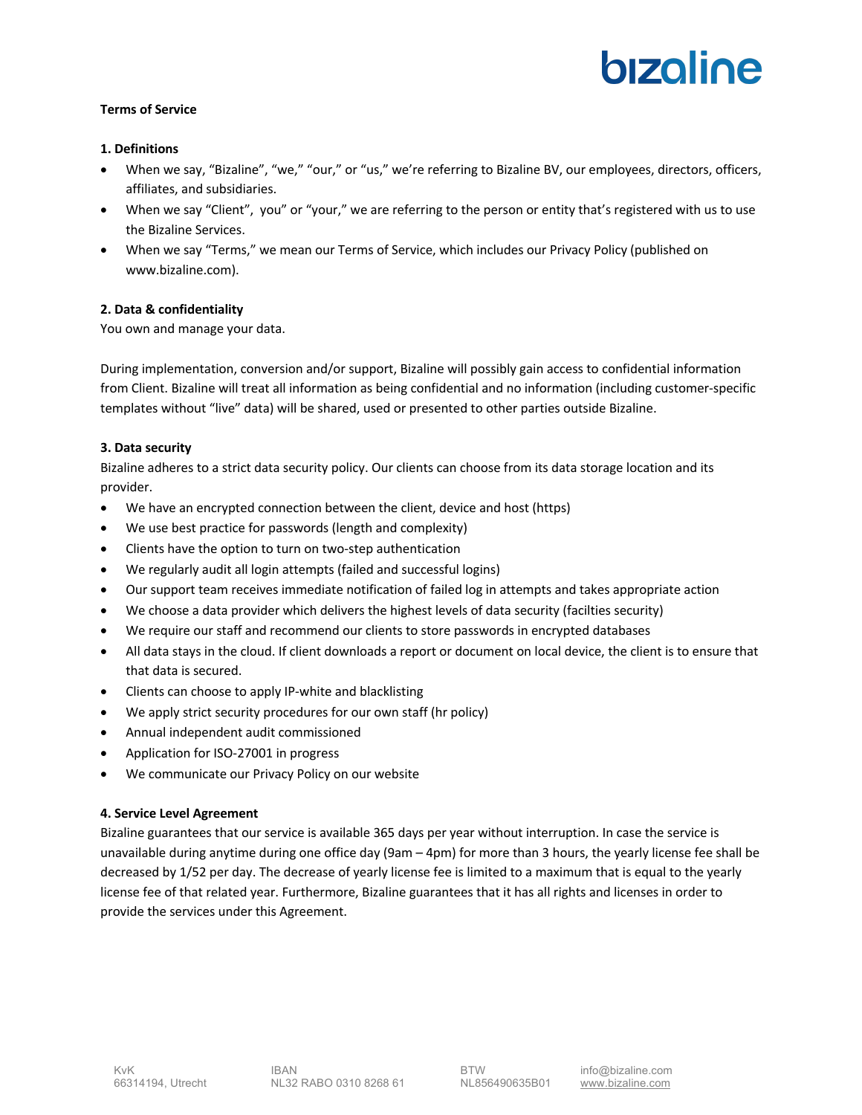# bizoline

## **Terms of Service**

### **1. Definitions**

- When we say, "Bizaline", "we," "our," or "us," we're referring to Bizaline BV, our employees, directors, officers, affiliates, and subsidiaries.
- When we say "Client", you" or "your," we are referring to the person or entity that's registered with us to use the Bizaline Services.
- When we say "Terms," we mean our Terms of Service, which includes our Privacy Policy (published on www.bizaline.com).

## **2. Data & confidentiality**

You own and manage your data.

During implementation, conversion and/or support, Bizaline will possibly gain access to confidential information from Client. Bizaline will treat all information as being confidential and no information (including customer-specific templates without "live" data) will be shared, used or presented to other parties outside Bizaline.

## **3. Data security**

Bizaline adheres to a strict data security policy. Our clients can choose from its data storage location and its provider.

- We have an encrypted connection between the client, device and host (https)
- We use best practice for passwords (length and complexity)
- Clients have the option to turn on two-step authentication
- We regularly audit all login attempts (failed and successful logins)
- Our support team receives immediate notification of failed log in attempts and takes appropriate action
- We choose a data provider which delivers the highest levels of data security (facilties security)
- We require our staff and recommend our clients to store passwords in encrypted databases
- All data stays in the cloud. If client downloads a report or document on local device, the client is to ensure that that data is secured.
- Clients can choose to apply IP-white and blacklisting
- We apply strict security procedures for our own staff (hr policy)
- Annual independent audit commissioned
- Application for ISO-27001 in progress
- We communicate our Privacy Policy on our website

# **4. Service Level Agreement**

Bizaline guarantees that our service is available 365 days per year without interruption. In case the service is unavailable during anytime during one office day (9am – 4pm) for more than 3 hours, the yearly license fee shall be decreased by 1/52 per day. The decrease of yearly license fee is limited to a maximum that is equal to the yearly license fee of that related year. Furthermore, Bizaline guarantees that it has all rights and licenses in order to provide the services under this Agreement.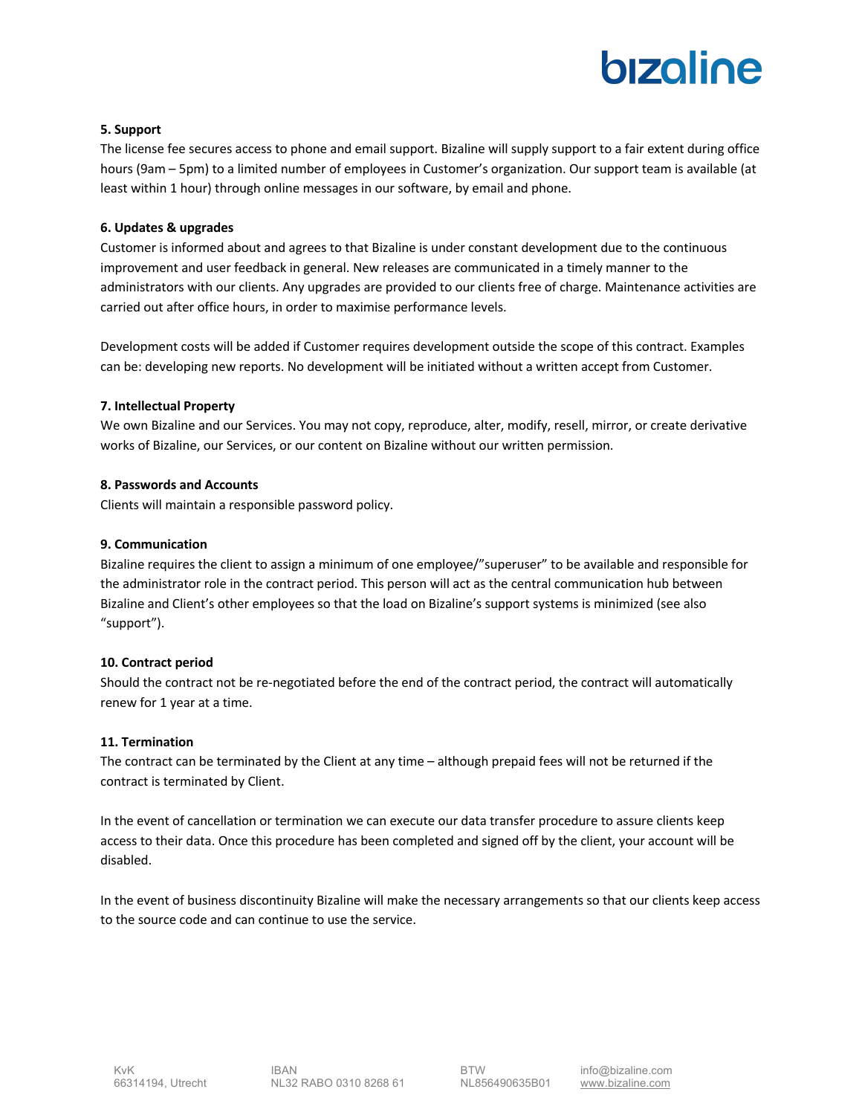# bizoline

### **5. Support**

The license fee secures access to phone and email support. Bizaline will supply support to a fair extent during office hours (9am – 5pm) to a limited number of employees in Customer's organization. Our support team is available (at least within 1 hour) through online messages in our software, by email and phone.

### **6. Updates & upgrades**

Customer is informed about and agrees to that Bizaline is under constant development due to the continuous improvement and user feedback in general. New releases are communicated in a timely manner to the administrators with our clients. Any upgrades are provided to our clients free of charge. Maintenance activities are carried out after office hours, in order to maximise performance levels.

Development costs will be added if Customer requires development outside the scope of this contract. Examples can be: developing new reports. No development will be initiated without a written accept from Customer.

## **7. Intellectual Property**

We own Bizaline and our Services. You may not copy, reproduce, alter, modify, resell, mirror, or create derivative works of Bizaline, our Services, or our content on Bizaline without our written permission.

### **8. Passwords and Accounts**

Clients will maintain a responsible password policy.

### **9. Communication**

Bizaline requires the client to assign a minimum of one employee/"superuser" to be available and responsible for the administrator role in the contract period. This person will act as the central communication hub between Bizaline and Client's other employees so that the load on Bizaline's support systems is minimized (see also "support").

### **10. Contract period**

Should the contract not be re-negotiated before the end of the contract period, the contract will automatically renew for 1 year at a time.

### **11. Termination**

The contract can be terminated by the Client at any time – although prepaid fees will not be returned if the contract is terminated by Client.

In the event of cancellation or termination we can execute our data transfer procedure to assure clients keep access to their data. Once this procedure has been completed and signed off by the client, your account will be disabled.

In the event of business discontinuity Bizaline will make the necessary arrangements so that our clients keep access to the source code and can continue to use the service.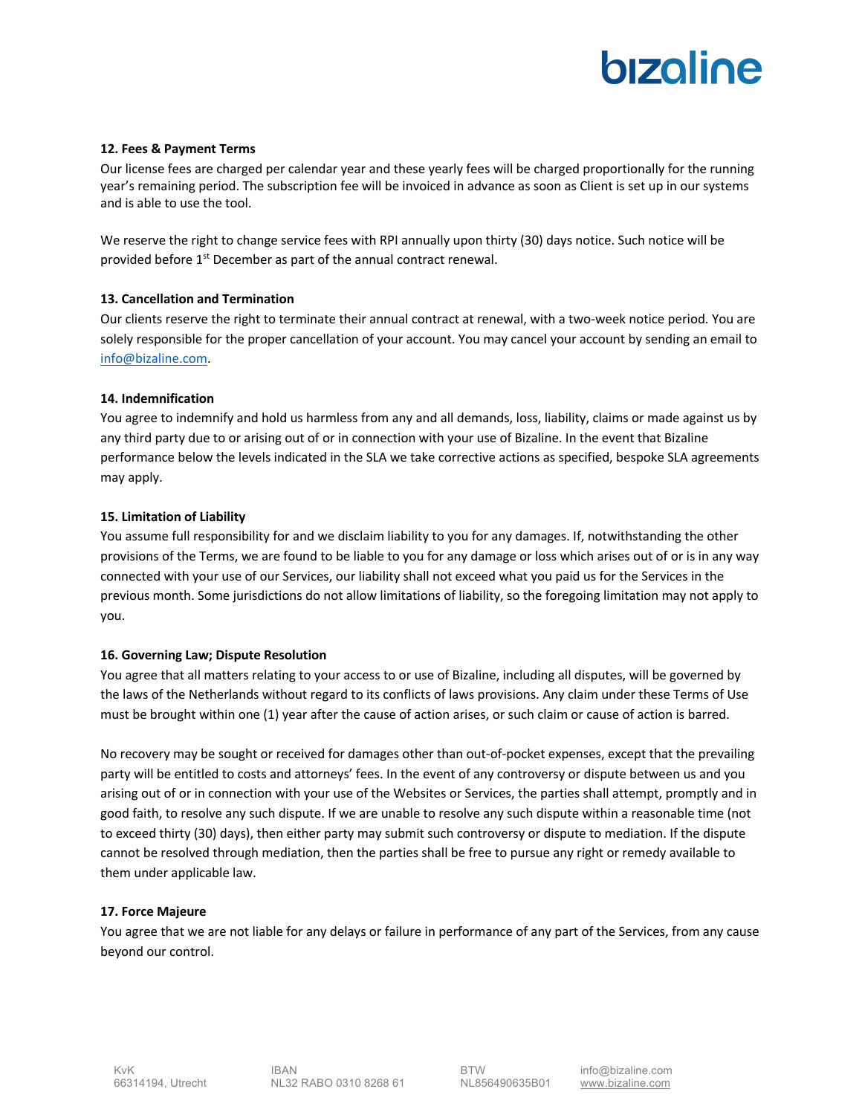# bizoline

### **12. Fees & Payment Terms**

Our license fees are charged per calendar year and these yearly fees will be charged proportionally for the running year's remaining period. The subscription fee will be invoiced in advance as soon as Client is set up in our systems and is able to use the tool.

We reserve the right to change service fees with RPI annually upon thirty (30) days notice. Such notice will be provided before  $1<sup>st</sup>$  December as part of the annual contract renewal.

### **13. Cancellation and Termination**

Our clients reserve the right to terminate their annual contract at renewal, with a two-week notice period. You are solely responsible for the proper cancellation of your account. You may cancel your account by sending an email to info@bizaline.com.

### **14. Indemnification**

You agree to indemnify and hold us harmless from any and all demands, loss, liability, claims or made against us by any third party due to or arising out of or in connection with your use of Bizaline. In the event that Bizaline performance below the levels indicated in the SLA we take corrective actions as specified, bespoke SLA agreements may apply.

### **15. Limitation of Liability**

You assume full responsibility for and we disclaim liability to you for any damages. If, notwithstanding the other provisions of the Terms, we are found to be liable to you for any damage or loss which arises out of or is in any way connected with your use of our Services, our liability shall not exceed what you paid us for the Services in the previous month. Some jurisdictions do not allow limitations of liability, so the foregoing limitation may not apply to you.

### **16. Governing Law; Dispute Resolution**

You agree that all matters relating to your access to or use of Bizaline, including all disputes, will be governed by the laws of the Netherlands without regard to its conflicts of laws provisions. Any claim under these Terms of Use must be brought within one (1) year after the cause of action arises, or such claim or cause of action is barred.

No recovery may be sought or received for damages other than out-of-pocket expenses, except that the prevailing party will be entitled to costs and attorneys' fees. In the event of any controversy or dispute between us and you arising out of or in connection with your use of the Websites or Services, the parties shall attempt, promptly and in good faith, to resolve any such dispute. If we are unable to resolve any such dispute within a reasonable time (not to exceed thirty (30) days), then either party may submit such controversy or dispute to mediation. If the dispute cannot be resolved through mediation, then the parties shall be free to pursue any right or remedy available to them under applicable law.

### **17. Force Majeure**

You agree that we are not liable for any delays or failure in performance of any part of the Services, from any cause beyond our control.